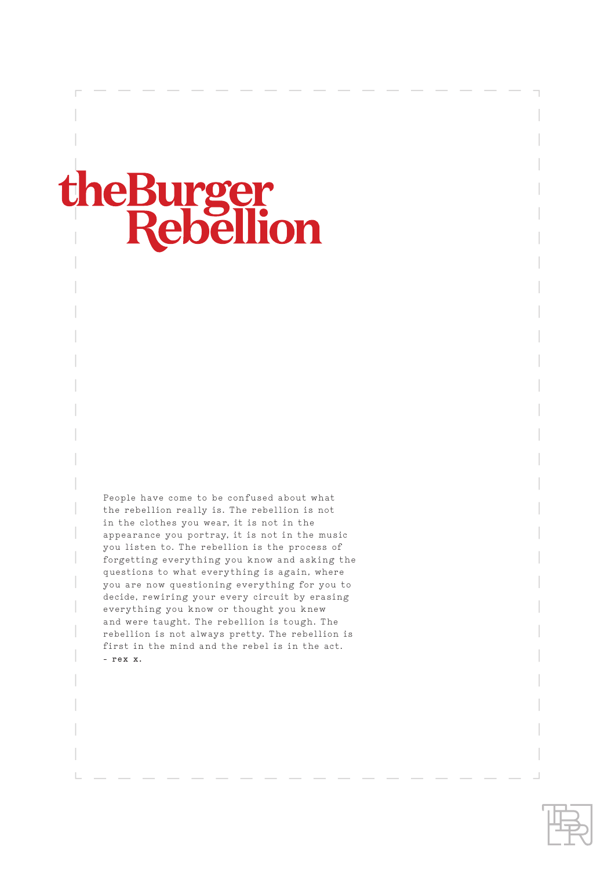### heBur 11 rgei **Rebellion**

People have come to be confused about what the rebellion really is. The rebellion is not in the clothes you wear, it is not in the appearance you portray, it is not in the music you listen to. The rebellion is the process of forgetting everything you know and asking the questions to what everything is again, where you are now questioning everything for you to decide, rewiring your every circuit by erasing everything you know or thought you knew and were taught. The rebellion is tough. The rebellion is not always pretty. The rebellion is first in the mind and the rebel is in the act. **- rex x.**

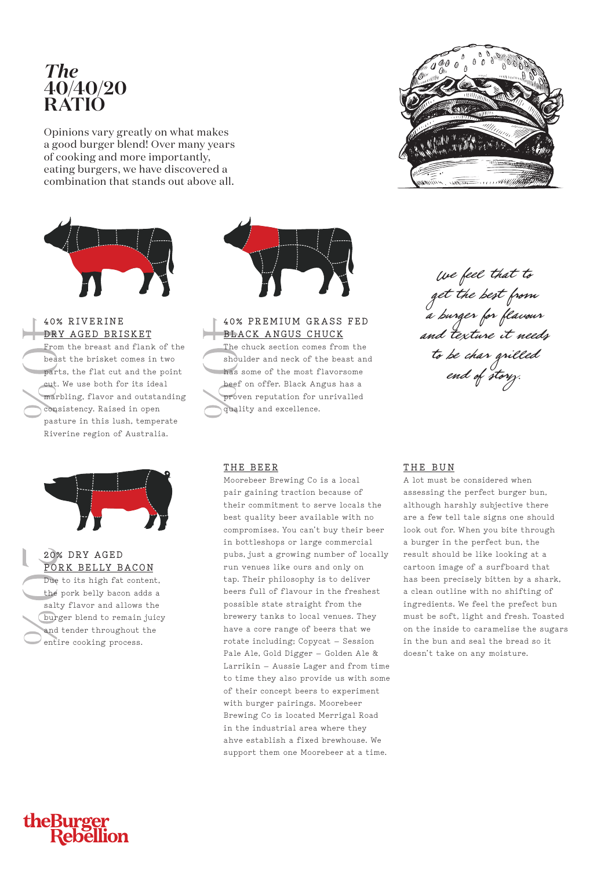#### *The* **40/40/20 RATIO**

Opinions vary greatly on what makes a good burger blend! Over many years of cooking and more importantly, eating burgers, we have discovered a combination that stands out above all.



#### **40% RIVERINE DRY AGED BRISKET**

From the breast and flank of the beast the brisket comes in two parts, the flat cut and the point cut. We use both for its ideal marbling, flavor and outstanding consistency. Raised in open pasture in this lush, temperate Riverine region of Australia.



#### **20% DRY AGED PORK BELLY BACON**

Due to its high fat content, the pork belly bacon adds a salty flavor and allows the burger blend to remain juicy and tender throughout the entire cooking process.



#### **40% PREMIUM GRASS FED BLACK ANGUS CHUCK**

The chuck section comes from the shoulder and neck of the beast and has some of the most flavorsome beef on offer. Black Angus has a proven reputation for unrivalled quality and excellence.

#### **THE BEER**

Moorebeer Brewing Co is a local pair gaining traction because of their commitment to serve locals the best quality beer available with no compromises. You can't buy their beer in bottleshops or large commercial pubs, just a growing number of locally run venues like ours and only on tap. Their philosophy is to deliver beers full of flavour in the freshest possible state straight from the brewery tanks to local venues. They have a core range of beers that we rotate including; Copycat – Session Pale Ale, Gold Digger – Golden Ale & Larrikin – Aussie Lager and from time to time they also provide us with some of their concept beers to experiment with burger pairings. Moorebeer Brewing Co is located Merrigal Road in the industrial area where they ahve establish a fixed brewhouse. We support them one Moorebeer at a time.



We feel that to get the best from a burger for flavour and texture it needs to be char grilled end of story.

#### **THE BUN**

A lot must be considered when assessing the perfect burger bun, although harshly subjective there are a few tell tale signs one should look out for. When you bite through a burger in the perfect bun, the result should be like looking at a cartoon image of a surfboard that has been precisely bitten by a shark, a clean outline with no shifting of ingredients. We feel the prefect bun must be soft, light and fresh. Toasted on the inside to caramelise the sugars in the bun and seal the bread so it doesn't take on any moisture.

# theBurger<br>Rebellion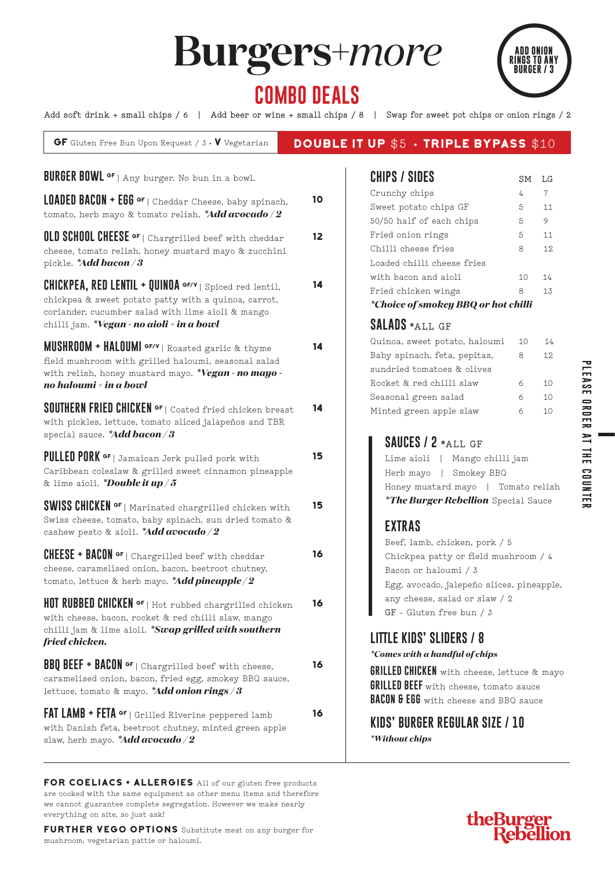# **Burgers+***more*



**PLEASE ORDER AT THE COUNTER**

**PLEASE ORDER AT THE COUNTER** 

## **COMBO DEALS**

**Add soft drink + small chips / 6 | Add beer or wine + small chips / 8 | Swap for sweet pot chips or onion rings / 2**

| <b>GF</b> Gluten Free Bun Upon Request / $3 \cdot V$ Vegetarian                                                                                                                                                                       |    | <b>DOUBLE IT UP \$5 · TRIPLE BYPASS \$10</b>                                                                                                                                              |                          |                      |
|---------------------------------------------------------------------------------------------------------------------------------------------------------------------------------------------------------------------------------------|----|-------------------------------------------------------------------------------------------------------------------------------------------------------------------------------------------|--------------------------|----------------------|
| <b>BURGER BOWL of</b> $ $ Any burger. No bun in a bowl.                                                                                                                                                                               |    | <b>CHIPS / SIDES</b>                                                                                                                                                                      | SΜ                       | LG                   |
| <b>LOADED BACON + EGG</b> $\sigma$ F   Cheddar Cheese, baby spinach,<br>tomato, herb mayo & tomato relish. *Add avocado/2                                                                                                             | 10 | Crunchy chips<br>Sweet potato chips GF<br>50/50 half of each chips                                                                                                                        | $\overline{4}$<br>5<br>5 | 7<br>11<br>9         |
| <b>OLD SCHOOL CHEESE <sup>or</sup></b>   Chargrilled beef with cheddar<br>cheese, tomato relish, honey mustard mayo & zucchini<br>pickle. *Add bacon / 3                                                                              | 12 | Fried onion rings<br>Chilli cheese fries<br>Loaded chilli cheese fries                                                                                                                    | 5<br>8                   | 11<br>12             |
| <b>CHICKPEA, RED LENTIL + QUINOA <math>G</math>F/V</b>   Spiced red lentil,<br>chickpea & sweet potato patty with a quinoa, carrot,<br>coriander, cucumber salad with lime aioli & mango<br>chilli jam. *Vegan - no aioli + in a bowl | 14 | with bacon and aioli<br>Fried chicken wings<br>*Choice of smokey BBQ or hot chilli<br><b>SALADS *ALL GF</b>                                                                               | 10<br>8                  | 14<br>13             |
| <b>MUSHROOM + HALOUMI <math>\frac{G_F}{V}</math></b> Roasted garlic & thyme<br>field mushroom with grilled haloumi, seasonal salad<br>with relish, honey mustard mayo. *Vegan - no mayo -<br>no haloumi + in a bowl                   | 14 | Quinoa, sweet potato, haloumi<br>Baby spinach, feta, pepitas,<br>sundried tomatoes & olives<br>Rocket & red chilli slaw<br>Seasonal green salad                                           | 10<br>8<br>6<br>6        | 14<br>12<br>10<br>10 |
| <b>SOUTHERN FRIED CHICKEN of   Coated fried chicken breast</b><br>with pickles, lettuce, tomato sliced jalapeños and TBR<br>special sauce. * Add bacon / 3                                                                            | 14 | Minted green apple slaw<br>SAUCES / 2 *ALL GF                                                                                                                                             | 6                        | 10                   |
| <b>PULLED PORK of</b>   Jamaican Jerk pulled pork with<br>Caribbean coleslaw & grilled sweet cinnamon pineapple<br>& lime aioli. *Double it up / 5                                                                                    | 15 | Lime aioli   Mango chilli jam<br>Herb mayo   Smokey BBQ<br>Honey mustard mayo   Tomato relish                                                                                             |                          |                      |
| SWISS CHICKEN <sup>GF</sup>   Marinated chargrilled chicken with<br>Swiss cheese, tomato, baby spinach, sun dried tomato &<br>cashew pesto & aioli. *Add avocado/2                                                                    | 15 | <i>*The Burger Rebellion Special Sauce</i><br><b>EXTRAS</b>                                                                                                                               |                          |                      |
| <b>CHEESE + BACON</b> $\sigma$ <sup>F</sup>   Chargrilled beef with cheddar<br>cheese, caramelised onion, bacon, beetroot chutney,<br>tomato, lettuce & herb mayo. *Add pineapple/2                                                   | 16 | Beef, lamb, chicken, pork / 5<br>Chickpea patty or field mushroom / 4<br>Bacon or haloumi / 3<br>Egg, avocado, jalepeño slices, pineapple,                                                |                          |                      |
| HOT RUBBED CHICKEN <sup>of</sup>   Hot rubbed chargrilled chicken<br>with cheese, bacon, rocket & red chilli slaw, mango<br>chilli jam & lime aioli. *Swap grilled with southern<br>fried chicken.                                    | 16 | any cheese, salad or slaw / 2<br>GF - Gluten free bun / 3<br><b>LITTLE KIDS' SLIDERS / 8</b>                                                                                              |                          |                      |
| <b>BBQ BEEF + BACON</b> $\sigma$ F  Chargrilled beef with cheese,<br>caramelised onion, bacon, fried egg, smokey BBQ sauce,<br>lettuce, tomato & mayo. *Add onion rings / 3                                                           | 16 | *Comes with a handful of chips<br><b>GRILLED CHICKEN</b> with cheese, lettuce & mayo<br><b>GRILLED BEEF</b> with cheese, tomato sauce<br><b>BACON &amp; EGG</b> with cheese and BBQ sauce |                          |                      |
| <b>FAT LAMB + FETA <math>\sigma</math>F</b>   Grilled Riverine peppered lamb<br>with Danish feta, beetroot chutney, minted green apple<br>slaw, herb mayo. *Add avocado/2                                                             | 16 | <b>KIDS' BURGER REGULAR SIZE / 10</b><br><i>*Without chips</i>                                                                                                                            |                          |                      |

FOR COELIACS + ALLERGIES All of our gluten free products are cooked with the same equipment as other menu items and therefore we cannot guarantee complete segregation. However we make nearly everything on site, so just ask!

FURTHER VEGO OPTIONS Substitute meat on any burger for mushroom, vegetarian pattie or haloumi.